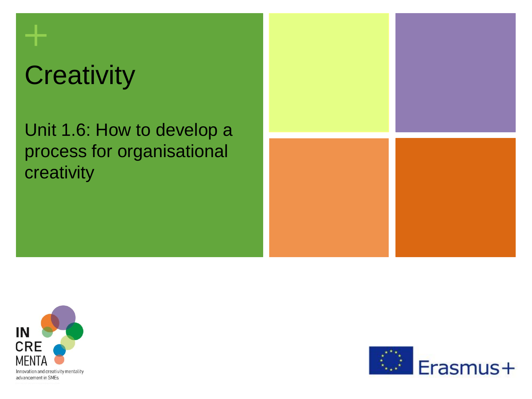# **Creativity**

**+**

Unit 1.6: How to develop a process for organisational creativity





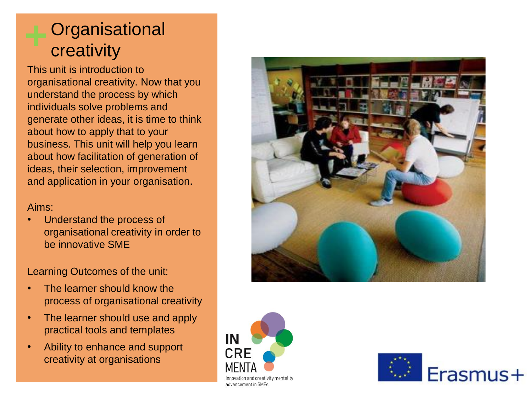### **Organisational** creativity

This unit is introduction to organisational creativity. Now that you understand the process by which individuals solve problems and generate other ideas, it is time to think about how to apply that to your business. This unit will help you learn about how facilitation of generation of ideas, their selection, improvement and application in your organisation.

#### Aims:

• Understand the process of organisational creativity in order to be innovative SME

Learning Outcomes of the unit:

- The learner should know the process of organisational creativity
- The learner should use and apply practical tools and templates
- Ability to enhance and support creativity at organisations





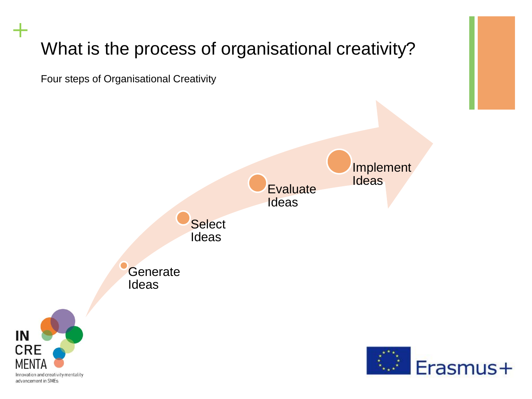### What is the process of organisational creativity?

Four steps of Organisational Creativity

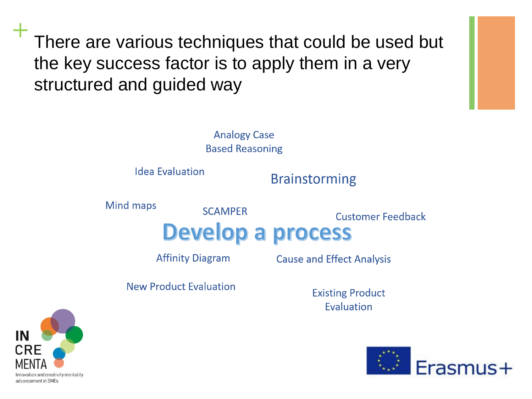There are various techniques that could be used but the key success factor is to apply them in a very structured and guided way

> **Analogy Case Based Reasoning**

**SCAMPER** 

**Idea Evaluation** 

#### **Brainstorming**

**Mind maps** 

**Customer Feedback** 

## **Develop a process**

**Affinity Diagram** 

**Cause and Effect Analysis** 

**New Product Evaluation** 

**Existing Product Fyaluation** 



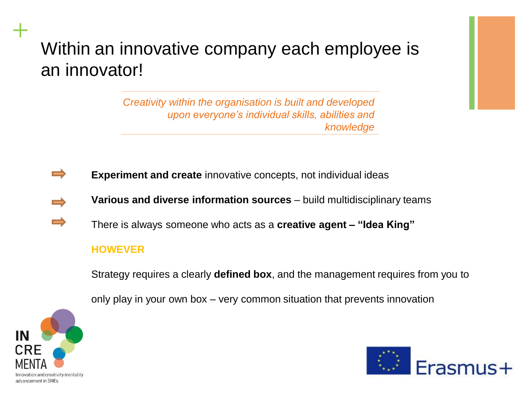### Within an innovative company each employee is an innovator!

*Creativity within the organisation is built and developed upon everyone's individual skills, abilities and knowledge*

- **Experiment and create** innovative concepts, not individual ideas
- **Various and diverse information sources**  build multidisciplinary teams
- $\Rightarrow$ There is always someone who acts as a **creative agent – "Idea King"**

#### **HOWEVER**

Strategy requires a clearly **defined box**, and the management requires from you to

only play in your own box – very common situation that prevents innovation



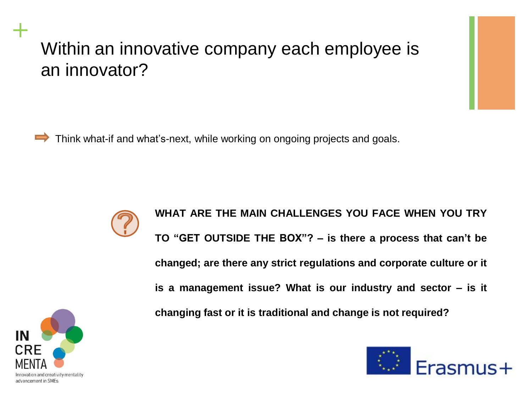### Within an innovative company each employee is an innovator?

Think what-if and what's-next, while working on ongoing projects and goals.



**WHAT ARE THE MAIN CHALLENGES YOU FACE WHEN YOU TRY TO "GET OUTSIDE THE BOX"? – is there a process that can't be changed; are there any strict regulations and corporate culture or it is a management issue? What is our industry and sector – is it changing fast or it is traditional and change is not required?**



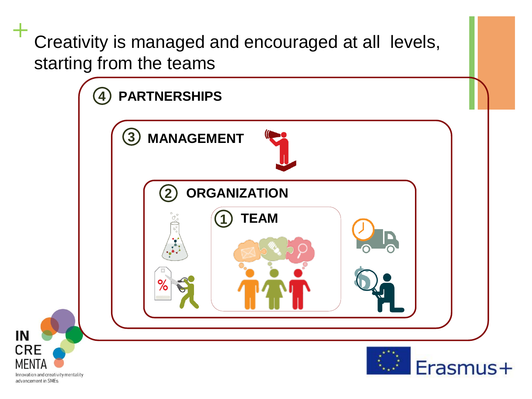**+** Creativity is managed and encouraged at all levels, starting from the teams

IN

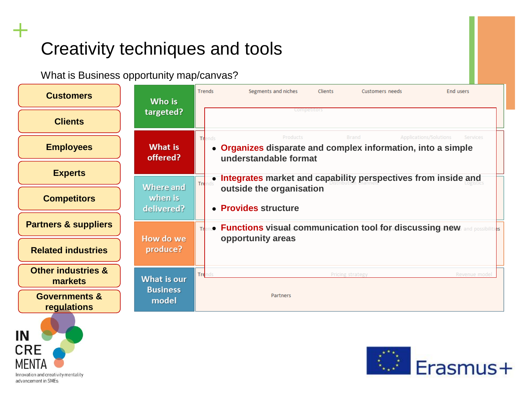### Creativity techniques and tools

What is Business opportunity map/canvas?





Innovation and creativity mentality advancement in SMEs

IN

**CRE**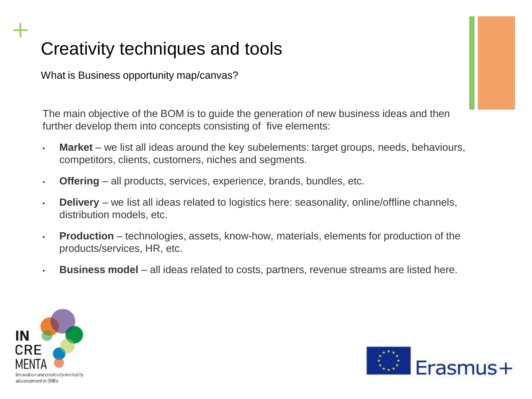### Creativity techniques and tools

What is Business opportunity map/canvas?

The main objective of the BOM is to guide the generation of new business ideas and then further develop them into concepts consisting of five elements:

- **Market** we list all ideas around the key subelements: target groups, needs, behaviours, competitors, clients, customers, niches and segments.
- **Offering** all products, services, experience, brands, bundles, etc.
- **Delivery** we list all ideas related to logistics here: seasonality, online/offline channels, distribution models, etc.
- **Production** technologies, assets, know-how, materials, elements for production of the products/services, HR, etc.
- **Business model**  all ideas related to costs, partners, revenue streams are listed here.



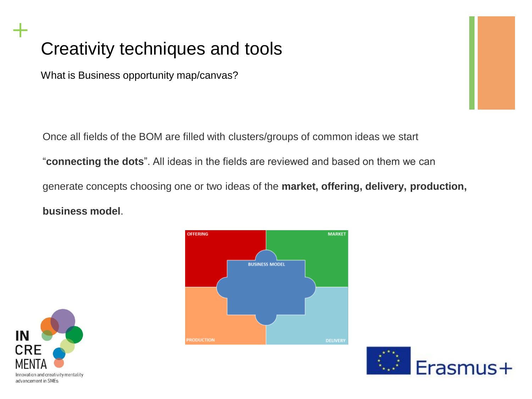### Creativity techniques and tools

What is Business opportunity map/canvas?

Once all fields of the BOM are filled with clusters/groups of common ideas we start

"**connecting the dots**". All ideas in the fields are reviewed and based on them we can

generate concepts choosing one or two ideas of the **market, offering, delivery, production, business model**.

**MARKET** 



**OFFERING** 



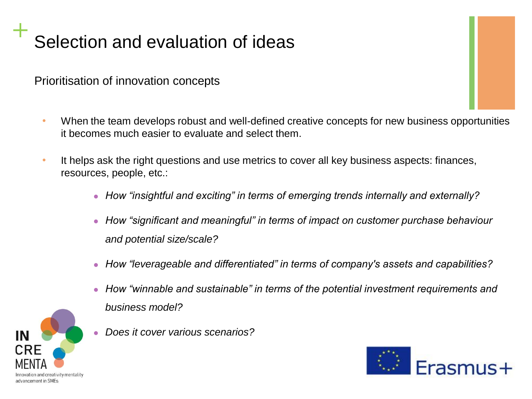# **+** Selection and evaluation of ideas

Prioritisation of innovation concepts

- When the team develops robust and well-defined creative concepts for new business opportunities it becomes much easier to evaluate and select them.
- It helps ask the right questions and use metrics to cover all key business aspects: finances, resources, people, etc.:
	- ⚫ *How "insightful and exciting" in terms of emerging trends internally and externally?*
	- *How "significant and meaningful" in terms of impact on customer purchase behaviour and potential size/scale?*
	- ⚫ *How "leverageable and differentiated" in terms of company's assets and capabilities?*
	- ⚫ *How "winnable and sustainable" in terms of the potential investment requirements and business model?*
	- ⚫ *Does it cover various scenarios?*



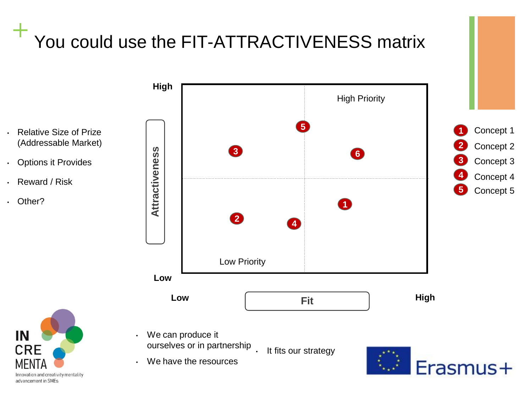# **+** You could use the FIT-ATTRACTIVENESS matrix



- Options it Provides
- Reward / Risk
- Other?





• We can produce it ourselves or in partnership

We have the resources

• It fits our strategy

Erasmus+

**1 2 3** Concept 1

Concept 2

Concept 3

Concept 5

Concept 4

**4 5**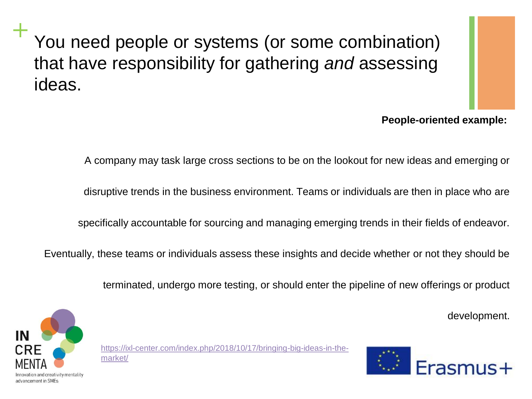**+** You need people or systems (or some combination) that have responsibility for gathering *and* assessing ideas.



#### **People-oriented example:**

A company may task large cross sections to be on the lookout for new ideas and emerging or

disruptive trends in the business environment. Teams or individuals are then in place who are

specifically accountable for sourcing and managing emerging trends in their fields of endeavor.

Eventually, these teams or individuals assess these insights and decide whether or not they should be

terminated, undergo more testing, or should enter the pipeline of new offerings or product

development.



[https://ixl-center.com/index.php/2018/10/17/bringing-big-ideas-in-the](https://ixl-center.com/index.php/2018/10/17/bringing-big-ideas-in-the-market/)market/

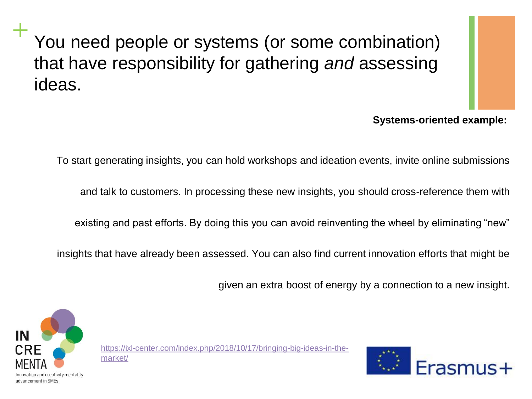**+** You need people or systems (or some combination) that have responsibility for gathering *and* assessing ideas.



#### **Systems-oriented example:**

To start generating insights, you can hold workshops and ideation events, invite online submissions

and talk to customers. In processing these new insights, you should cross-reference them with

existing and past efforts. By doing this you can avoid reinventing the wheel by eliminating "new"

insights that have already been assessed. You can also find current innovation efforts that might be

given an extra boost of energy by a connection to a new insight.



[https://ixl-center.com/index.php/2018/10/17/bringing-big-ideas-in-the](https://ixl-center.com/index.php/2018/10/17/bringing-big-ideas-in-the-market/)market/

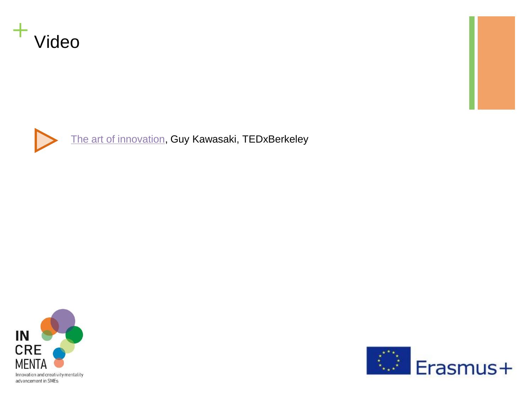





[The art of innovation](https://www.youtube.com/watch?v=Mtjatz9r-Vc), Guy Kawasaki, TEDxBerkeley